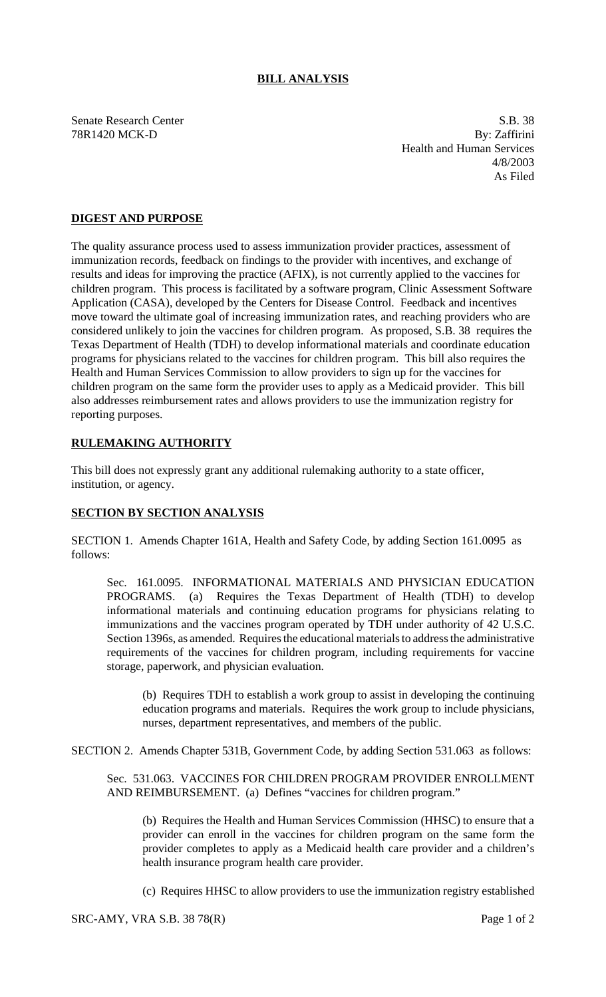## **BILL ANALYSIS**

Senate Research Center S.B. 38 78R1420 MCK-D By: Zaffirini Health and Human Services 4/8/2003 As Filed

## **DIGEST AND PURPOSE**

The quality assurance process used to assess immunization provider practices, assessment of immunization records, feedback on findings to the provider with incentives, and exchange of results and ideas for improving the practice (AFIX), is not currently applied to the vaccines for children program. This process is facilitated by a software program, Clinic Assessment Software Application (CASA), developed by the Centers for Disease Control. Feedback and incentives move toward the ultimate goal of increasing immunization rates, and reaching providers who are considered unlikely to join the vaccines for children program. As proposed, S.B. 38 requires the Texas Department of Health (TDH) to develop informational materials and coordinate education programs for physicians related to the vaccines for children program. This bill also requires the Health and Human Services Commission to allow providers to sign up for the vaccines for children program on the same form the provider uses to apply as a Medicaid provider. This bill also addresses reimbursement rates and allows providers to use the immunization registry for reporting purposes.

## **RULEMAKING AUTHORITY**

This bill does not expressly grant any additional rulemaking authority to a state officer, institution, or agency.

## **SECTION BY SECTION ANALYSIS**

SECTION 1. Amends Chapter 161A, Health and Safety Code, by adding Section 161.0095 as follows:

Sec. 161.0095. INFORMATIONAL MATERIALS AND PHYSICIAN EDUCATION PROGRAMS. (a) Requires the Texas Department of Health (TDH) to develop informational materials and continuing education programs for physicians relating to immunizations and the vaccines program operated by TDH under authority of 42 U.S.C. Section 1396s, as amended. Requires the educational materials to address the administrative requirements of the vaccines for children program, including requirements for vaccine storage, paperwork, and physician evaluation.

(b) Requires TDH to establish a work group to assist in developing the continuing education programs and materials. Requires the work group to include physicians, nurses, department representatives, and members of the public.

SECTION 2. Amends Chapter 531B, Government Code, by adding Section 531.063 as follows:

Sec. 531.063. VACCINES FOR CHILDREN PROGRAM PROVIDER ENROLLMENT AND REIMBURSEMENT. (a) Defines "vaccines for children program."

(b) Requires the Health and Human Services Commission (HHSC) to ensure that a provider can enroll in the vaccines for children program on the same form the provider completes to apply as a Medicaid health care provider and a children's health insurance program health care provider.

(c) Requires HHSC to allow providers to use the immunization registry established

 $SRC-AMY$ ,  $VRA S.B. 38 78(R)$  Page 1 of 2